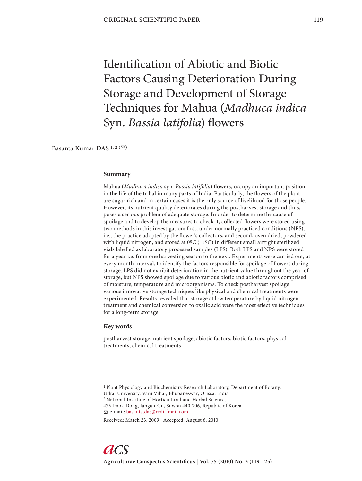Identification of Abiotic and Biotic Factors Causing Deterioration During Storage and Development of Storage Techniques for Mahua (*Madhuca indica* Syn. *Bassia latifolia*) flowers

Basanta Kumar DAS<sup>1,2( $\textcircled{2}$ )</sup>

#### **Summary**

Mahua (*Madhuca indica syn. Bassia latifolia*) flowers, occupy an important position in the life of the tribal in many parts of India. Particularly, the flowers of the plant are sugar rich and in certain cases it is the only source of livelihood for those people. However, its nutrient quality deteriorates during the postharvest storage and thus, poses a serious problem of adequate storage. In order to determine the cause of spoilage and to develop the measures to check it, collected flowers were stored using two methods in this investigation; first, under normally practiced conditions (NPS), i.e., the practice adopted by the flower's collectors, and second, oven dried, powdered with liquid nitrogen, and stored at  $0^0C (\pm 1^0C)$  in different small airtight sterilized vials labelled as laboratory processed samples (LPS). Both LPS and NPS were stored for a year i.e. from one harvesting season to the next. Experiments were carried out, at every month interval, to identify the factors responsible for spoilage of flowers during storage. LPS did not exhibit deterioration in the nutrient value throughout the year of storage, but NPS showed spoilage due to various biotic and abiotic factors comprised of moisture, temperature and microorganisms. To check postharvest spoilage various innovative storage techniques like physical and chemical treatments were experimented. Results revealed that storage at low temperature by liquid nitrogen treatment and chemical conversion to oxalic acid were the most effective techniques for a long-term storage.

## **Key words**

postharvest storage, nutrient spoilage, abiotic factors, biotic factors, physical treatments, chemical treatments

1 Plant Physiology and Biochemistry Research Laboratory, Department of Botany, Utkal University, Vani Vihar, Bhubaneswar, Orissa, India 2 National Institute of Horticultural and Herbal Science, 475 Imok-Dong, Jangan-Gu, Suwon 440-706, Republic of Korea e-mail: basanta.das@rediffmail.com

Received: March 23, 2009 | Accepted: August 6, 2010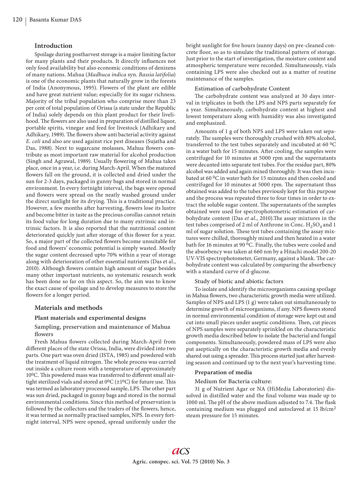# **Introduction**

Spoilage during postharvest storage is a major limiting factor for many plants and their products. It directly influences not only food availability but also economic conditions of denizens of many nations. Mahua (*Madhuca indica* syn. *Bassia latifolia*) is one of the economic plants that naturally grow in the forests of India (Anonymous, 1995). Flowers of the plant are edible and have great nutrient value; especially for its sugar richness. Majority of the tribal population who comprise more than 23 per cent of total population of Orissa (a state under the Republic of India) solely depends on this plant product for their livelihood. The flowers are also used in preparation of distilled liquor, portable spirits, vinegar and feed for livestock (Adhikary and Adhikary, 1989). The flowers show anti bacterial activity against *E. coli* and also are used against rice pest diseases (Sujatha and Das, 1988). Next to sugarcane molasses, Mahua flowers contribute as most important raw material for alcohol production (Singh and Agrawal, 1989). Usually flowering of Mahua takes place, once in a year, i.e. during March-April. When the matured flowers fall on the ground, it is collected and dried under the sun for 2-3 days, packaged in gunny bags and stored in normal environment. In every fortnight interval, the bags were opened and flowers were spread on the neatly washed ground under the direct sunlight for its drying. This is a traditional practice. However, a few months after harvesting, flowers lose its lustre and become bitter in taste as the precious corollas cannot retain its food value for long duration due to many extrinsic and intrinsic factors. It is also reported that the nutritional content deteriorated quickly just after storage of this flower for a year. So, a major part of the collected flowers become unsuitable for food and flowers' economic potential is simply wasted. Mostly the sugar content decreased upto 70% within a year of storage along with deterioration of other essential nutrients (Das et al., 2010). Although flowers contain high amount of sugar besides many other important nutrients, no systematic research work has been done so far on this aspect. So, the aim was to know the exact cause of spoilage and to develop measures to store the flowers for a longer period.

### **Materials and methods**

# **Plant materials and experimental designs**

## Sampling, preservation and maintenance of Mahua flowers

Fresh Mahua flowers collected during March-April from different places of the state Orissa, India, were divided into two parts. One part was oven dried (ISTA, 1985) and powdered with the treatment of liquid nitrogen. The whole process was carried out inside a culture room with a temperature of approximately  $10^{0}$ C. This powdered mass was transferred to different small airtight sterilized vials and stored at  $0^0C (\pm 1^0C)$  for future use. This was termed as laboratory processed sample, LPS. The other part was sun dried, packaged in gunny bags and stored in the normal environmental conditions. Since this method of preservation is followed by the collectors and the traders of the flowers, hence, it was termed as normally practised samples, NPS. In every fortnight interval, NPS were opened, spread uniformly under the

bright sunlight for five hours (sunny days) on pre-cleaned concrete floor, so as to simulate the traditional pattern of storage. Just prior to the start of investigation, the moisture content and atmospheric temperature were recorded. Simultaneously, vials containing LPS were also checked out as a matter of routine maintenance of the samples.

### Estimation of carbohydrate Content

The carbohydrate content was analyzed at 30 days interval in triplicates in both the LPS and NPS parts separately for a year. Simultaneously, carbohydrate content at highest and lowest temperature along with humidity was also investigated and emphasized.

Amounts of 1 g of both NPS and LPS were taken out separately. The samples were thoroughly crushed with 80% alcohol, transferred to the test tubes separately and incubated at 60 0C in a water bath for 15 minutes. After cooling, the samples were centrifuged for 10 minutes at 5000 rpm and the supernatants were decanted into separate test tubes. For the residue part, 80% alcohol was added and again mixed thoroughly. It was then incubated at 60 0C in water bath for 15 minutes and then cooled and centrifuged for 10 minutes at 5000 rpm. The supernatant thus obtained was added to the tubes previously kept for this purpose and the process was repeated three to four times in order to extract the soluble sugar content. The supernatants of the samples obtained were used for spectrophotometric estimation of carbohydrate content (Das et al., 2010). The assay mixtures in the test tubes comprised of 2 ml of Anthrone in Conc.  $H_2SO_4$  and 1 ml of sugar solution. These test tubes containing the assay mixtures were chilled, thoroughly mixed and then heated in a water bath for 16 minutes at 90 0C. Finally, the tubes were cooled and the absorbency was taken at 660 nm by a Hitachi model 200-20 UV-VIS spectrophotometer, Germany, against a blank. The carbohydrate content was calculated by comparing the absorbency with a standard curve of d-glucose.

#### Study of biotic and abiotic factors

To isolate and identify the microorganisms causing spoilage in Mahua flowers, two characteristic growth media were utilized. Samples of NPS and LPS (1 g) were taken out simultaneously to determine growth of microorganisms, if any. NPS flowers stored in normal environmental condition of storage were kept out and cut into small pieces under aseptic conditions. Then, cut pieces of NPS samples were separately sprinkled on the characteristic growth media described below to isolate the bacterial and fungal components. Simultaneously, powdered mass of LPS were also put aseptically on the characteristic growth media and evenly shared out using a spreader. This process started just after harvesting season and continued up to the next year's harvesting time.

#### **Preparation of media**

#### Medium for Bacteria culture:

31 g of Nutrient Agar or NA (HiMedia Laboratories) dissolved in distilled water and the final volume was made up to 1000 ml. The pH of the above medium adjusted to 7.4. The flask containing medium was plugged and autoclaved at 15 lb/cm2 steam pressure for 15 minutes.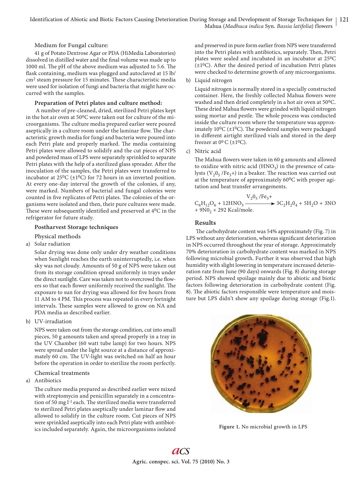Medium for Fungal culture:

41 g of Potato Dextrose Agar or PDA (HiMedia Laboratories) dissolved in distilled water and the final volume was made up to 1000 ml. The pH of the above medium was adjusted to 5.6. The flask containing, medium was plugged and autoclaved at 15 lb/  $\text{cm}^2$  steam pressure for 15 minutes. These characteristic media were used for isolation of fungi and bacteria that might have occurred with the samples.

## **Preparation of Petri plates and culture method:**

 A number of pre-cleaned, dried, sterilized Petri plates kept in the hot air oven at 500C were taken out for culture of the microorganisms. The culture media prepared earlier were poured aseptically in a culture room under the laminar flow. The characteristic growth media for fungi and bacteria were poured into each Petri plate and properly marked. The media containing Petri plates were allowed to solidify and the cut pieces of NPS and powdered mass of LPS were separately sprinkled to separate Petri plates with the help of a sterilized glass spreader. After the inoculation of the samples, the Petri plates were transferred to incubator at  $25^0C$  ( $\pm 1^0C$ ) for 72 hours in an inverted position. At every one-day interval the growth of the colonies, if any, were marked. Numbers of bacterial and fungal colonies were counted in five replicates of Petri plates. The colonies of the organisms were isolated and then, their pure cultures were made. These were subsequently identified and preserved at  $4^0C$  in the refrigerator for future study.

# **Postharvest Storage techniques**

Physical methods

a) Solar radiation

 Solar drying was done only under dry weather conditions when Sunlight reaches the earth uninterruptedly, i.e. when sky was not cloudy. Amounts of 50 g of NPS were taken out from its storage condition spread uniformly in trays under the direct sunlight. Care was taken not to overcrowd the flowers so that each flower uniformly received the sunlight. The exposure to sun for drying was allowed for five hours from 11 AM to 4 PM. This process was repeated in every fortnight intervals. These samples were allowed to grow on NA and PDA media as described earlier.

b) UV-irradiation

 NPS were taken out from the storage condition, cut into small pieces, 50 g amounts taken and spread properly in a tray in the UV Chamber (60 watt tube lamp) for two hours. NPS were spread under the light source at a distance of approximately 60 cm. The UV-light was switched on half an hour before the operation in order to sterilize the room perfectly.

Chemical treatments

# a) Antibiotics

The culture media prepared as described earlier were mixed with streptomycin and penicillin separately in a concentration of 50 mg l<sup>-1</sup> each. The sterilized media were transferred to sterilized Petri plates aseptically under laminar flow and allowed to solidify in the culture room. Cut pieces of NPS were sprinkled aseptically into each Petri plate with antibiotics included separately. Again, the microorganisms isolated and preserved in pure form earlier from NPS were transferred into the Petri plates with antibiotics, separately. Then, Petri plates were sealed and incubated in an incubator at 250C  $(\pm 10)$ . After the desired period of incubation Petri plates were checked to determine growth of any microorganisms.

b) Liquid nitrogen

 Liquid nitrogen is normally stored in a specially constructed container. Here, the freshly collected Mahua flowers were washed and then dried completely in a hot air oven at 50<sup>0</sup>C. These dried Mahua flowers were grinded with liquid nitrogen using mortar and pestle. The whole process was conducted inside the culture room where the temperature was approximately  $10^{0}C$  ( $\pm 1^{0}C$ ). The powdered samples were packaged in different airtight sterilized vials and stored in the deep freezer at  $0^0$  C ( $\pm 1^0$ C).

c) Nitric acid

The Mahua flowers were taken in 60 g amounts and allowed to oxidize with nitric acid  $(HNO<sub>3</sub>)$  in the presence of catalysts ( $V_2O_5$  /Fe<sub>3</sub>+) in a beaker. The reaction was carried out at the temperature of approximately 600C with proper agitation and heat transfer arrangements.

$$
C_6H_{12}O_6 + 12HNO_3 \xrightarrow{V_2O_5/Fe_3+} 3C_2H_2O_4 + 5H_2O + 3NO
$$
  
+ 9NO<sub>2</sub> + 292 Kcal/mole.

# **Results**

The carbohydrate content was 54% approximately (Fig. 7) in LPS without any deterioration, whereas significant deterioration in NPS occurred throughout the year of storage. Approximately 70% deterioration in carbohydrate content was marked in NPS following microbial growth. Further it was observed that high humidity with slight lowering in temperature increased deterioration rate from June (90 days) onwards (Fig. 8) during storage period. NPS showed spoilage mainly due to abiotic and biotic factors following deterioration in carbohydrate content (Fig. 8). The abiotic factors responsible were temperature and moisture but LPS didn't show any spoilage during storage (Fig.1).



**Figure 1.** No microbial growth in LPS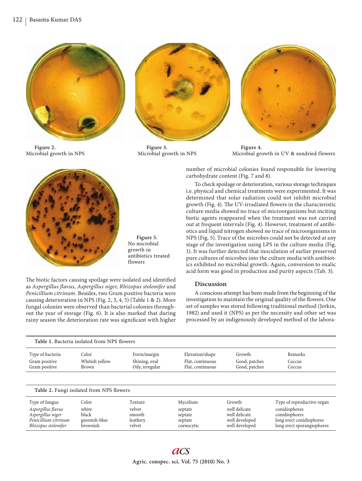

**Figure 2.**  Microbial growth in NPS



**Figure 3.**  Microbial growth in NPS



**Figure 4.**  Microbial growth in UV & sundried flowers



**Figure 5.**  No microbial growth in antibiotics treated flowers

The biotic factors causing spoilage were isolated and identified as *Aspergillus fl avus*, *Aspergillus niger*, *Rhizopus stolonifer* and *Penicillium citrinum.* Besides, two Gram positive bacteria were causing deterioration in NPS (Fig. 2, 3, 4, 5) (Table 1 & 2). More fungal colonies were observed than bacterial colonies throughout the year of storage (Fig. 6). It is also marked that during rainy season the deterioration rate was significant with higher number of microbial colonies found responsible for lowering carbohydrate content (Fig. 7 and 8).

To check spoilage or deterioration, various storage techniques i.e. physical and chemical treatments were experimented. It was determined that solar radiation could not inhibit microbial growth (Fig. 4). The UV-irradiated flowers in the characteristic culture media showed no trace of microorganisms but inciting biotic agents reappeared when the treatment was not carried out at frequent intervals (Fig. 4). However, treatment of antibiotics and liquid nitrogen showed no trace of microorganisms in NPS (Fig. 5). Trace of the microbes could not be detected at any stage of the investigation using LPS in the culture media (Fig. 1). It was further detected that inoculation of earlier preserved pure cultures of microbes into the culture media with antibiotics exhibited no microbial growth. Again, conversion to oxalic acid form was good in production and purity aspects (Tab. 3).

# **Discussion**

A conscious attempt has been made from the beginning of the investigation to maintain the original quality of the flowers. One set of samples was stored following traditional method (Jerkin, 1982) and used it (NPS) as per the necessity and other set was processed by an indigenously developed method of the labora-

| Table 1. Bacteria isolated from NPS flowers |                |                 |                  |                |                            |
|---------------------------------------------|----------------|-----------------|------------------|----------------|----------------------------|
| Type of bacteria                            | Color          | Form/margin     | Elevation/shape  | Growth         | Remarks                    |
| Gram positive                               | Whitish yellow | Shining, oval   | Flat, continuous | Good, patches  | Coccus                     |
| Gram positive                               | Brown          | Oily, irregular | Flat, continuous | Good, patches  | Coccus                     |
| Table 2. Fungi isolated from NPS flowers    |                |                 |                  |                |                            |
| Type of fungus                              | Color          | Texture         | Mycelium         | Growth         | Type of reproductive organ |
| Aspergillus flavus                          | white          | velvet          | septate          | well delicate  | conidiophores              |
| Aspergillus niger                           | black          | smooth          | septate          | well delicate  | conidiophores              |
| Penicillium citrinum                        | greenish-blue  | leathery        | septate          | well developed | long erect conidiophores   |
| Rhizopus stolonifer                         | brownish       | velvet          | coenocytic       | well developed | long erect sporangiophores |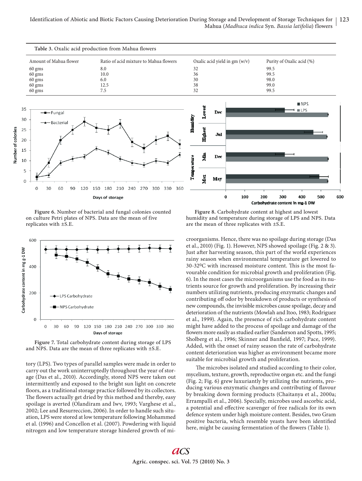

**Figure 6.** Number of bacterial and fungal colonies counted on culture Petri plates of NPS. Data are the mean of five replicates with ±S.E.



**Figure 7.** Total carbohydrate content during storage of LPS and NPS. Data are the mean of three replicates with  $\pm$ S.E.

tory (LPS). Two types of parallel samples were made in order to carry out the work uninterruptedly throughout the year of storage (Das et al., 2010). Accordingly, stored NPS were taken out intermittently and exposed to the bright sun light on concrete floors, as a traditional storage practice followed by its collectors. The flowers actually get dried by this method and thereby, easy spoilage is averted (Olandiram and Iwv, 1993; Varghese et al., 2002; Lee and Resurreccion, 2006). In order to handle such situation, LPS were stored at low temperature following Mohammed et al. (1996) and Concellon et al. (2007). Powdering with liquid nitrogen and low temperature storage hindered growth of mi-

**Figure 8.** Carbohydrate content at highest and lowest humidity and temperature during storage of LPS and NPS. Data are the mean of three replicates with ±S.E.

croorganisms. Hence, there was no spoilage during storage (Das et al., 2010) (Fig. 1). However, NPS showed spoilage (Fig. 2 & 3). Just after harvesting season, this part of the world experiences rainy season when environmental temperature get lowered to  $30-32$ <sup>0</sup>C with increased moisture content. This is the most favourable condition for microbial growth and proliferation (Fig. 6). In the most cases the microorganisms use the food as its nutrients source for growth and proliferation. By increasing their numbers utilizing nutrients, producing enzymatic changes and contributing off odor by breakdown of products or synthesis of new compounds, the invisible microbes cause spoilage, decay and deterioration of the nutrients (Mowlah and Itoo, 1983; Rodriguez et al., 1999). Again, the presence of rich carbohydrate content might have added to the process of spoilage and damage of the flowers more easily as studied earlier (Sanderson and Spotts, 1995; Sholberg et al., 1996; Skinner and Banfield, 1997; Pace, 1999). Added, with the onset of rainy season the rate of carbohydrate content deterioration was higher as environment became more suitable for microbial growth and proliferation.

The microbes isolated and studied according to their color, mycelium, texture, growth, reproductive organ etc. and the fungi (Fig. 2; Fig. 6) grew luxuriantly by utilizing the nutrients, producing various enzymatic changes and contributing of flavour by breaking down forming products (Chaitanya et al., 2000a; Errampalli et al., 2006). Specially, microbes used ascorbic acid, a potential and effective scavenger of free radicals for its own defence system under high moisture content. Besides, two Gram positive bacteria, which resemble yeasts have been identified here, might be causing fermentation of the flowers (Table 1).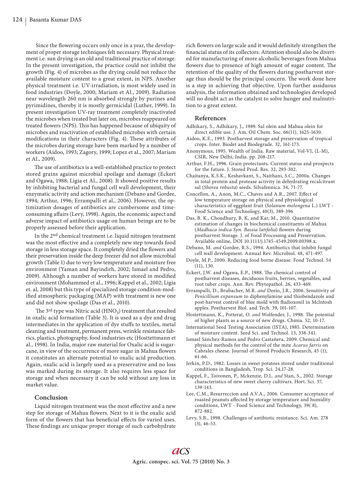Since the flowering occurs only once in a year, the development of proper storage techniques felt necessary. Physical treatment i.e. sun drying is an old and traditional practice of storage. In the present investigation, the practice could not inhibit the growth (Fig. 4) of microbes as the drying could not reduce the available moisture content to a great extent, in NPS. Another physical treatment i.e. UV-irradiation, is most widely used in food industries (Doyle, 2000; Mariam et Al., 2009). Radiation near wavelength 260 nm is absorbed strongly by purines and pyrimidines, thereby it is mostly germicidal (Luther, 1999). In present investigation UV-ray treatment completely inactivated the microbes when treated but later on, microbes reappeared on treated flowers (NPS). This has happened because of ubiquity of microbes and reactivation of established microbes with certain modifications in their characters (Fig. 4). These attributes of the microbes during storage have been marked by a number of workers (Aidoo, 1993; Zagory, 1999; Lopez et al., 2007; Mariam et Al., 2009).

The use of antibiotics is a well-established practice to protect stored grains against microbial spoilage and damage (Eckert and Ogawa, 1988; Ligia et Al., 2008). It showed positive results by inhibiting bacterial and fungal cell wall development, their enzymatic activity and action mechanism (Debano and Gordee, 1994; Arthur, 1996; Errampalli et al., 2006). However, the optimization dosages of antibiotics are cumbersome and timeconsuming affairs (Levy, 1998). Again, the economic aspect and adverse impact of antibiotics usage on human beings are to be properly assessed before their application.

In the 2nd chemical treatment i.e. liquid nitrogen treatment was the most effective and a completely new step towards food storage in less storage space. It completely dried the flowers and their preservation inside the deep freezer did not allow microbial growth (Table 1) due to very low temperature and moisture free environment (Yaman and Bayindirh, 2002; Ismael and Pedro, 2009). Although a number of workers have stored in modified environment (Mohammed et al., 1996; Kappel et al., 2002; Ligia et. al, 2008) but this type of specialized storage condition-modified atmospheric packaging (MAP) with treatment is new one and did not show spoilage (Das et al., 2010).

The 3<sup>rd</sup> type was Nitric acid (HNO<sub>3</sub>) treatment that resulted in oxalic acid formation (Table 3). It is used as a dye and drug intermediates in the application of dye stuffs to textiles, metal cleaning and treatment, permanent press, wrinkle resistance fabrics, plastics, photography, food industries etc (Hosttettmann et al., 1998). In India, major raw material for Oxalic acid is sugarcane, in view of the occurrence of more sugar in Mahua flowers it constitutes an alternate potential to oxalic acid production. Again, oxalic acid is largely used as a preservative and no loss was marked during its storage. It also requires less space for storage and when necessary it can be sold without any loss in market value.

## **Conclusion**

Liquid nitrogen treatment was the most effective and a new step for storage of Mahua flowers. Next to it is the oxalic acid form of the flowers that has beneficial effects for varied uses. These findings are unique proper storage of such carbohydrate rich flowers on large scale and it would definitely strengthen the financial status of its collectors. Attention should also be diverted for manufacturing of more alcoholic beverages from Mahua flowers due to presence of high amount of sugar content. The retention of the quality of the flowers during postharvest storage thus should be the principal concern. The work done here is a step in achieving that objective. Upon further assiduous analysis, the information obtained and technologies developed will no doubt act as the catalyst to solve hunger and malnutrition to a great extent.

### **References**

- Adhikary, S., Adhikary, J., 1989. Sal olein and Mahua olein for direct edible use. J. Am. Oil Chem. Soc. 66(11), 1625-1630.
- Aidoo, K.E., 1993. Postharvest storage and preservation of tropical crops. Inter. Biodet and Biodegrade. 32, 161-173.
- Anonymous, 1995. Wealth of India. Raw material, Vol-VI, (L-M), CSIR, New Delhi, India. pp. 208-217.
- Arthur, F.H., 1996. Grain protectants. Current status and prospects for the future. J. Stored Prod. Res. 32, 293-302.
- Chaitanya, K.S.K., Keshavkant, S., Naithani, S.C., 2000a. Changes in total protein and protease activity in dehydrating recalcitrant sal (*Shorea robusta*) seeds. Silvafennica. 34, 71-77.
- Concellon, A., Anon, M.C., Chaves and A.R., 2007. Effect of low temperature storage on physical and physiological characteristics of eggplant fruit (*Solanum melongena* L.) LWT - Food Science and Technology, 40(3), 389-396
- Das, B. K., Choudhury, B. K, and Kar, M., 2010. Quantitative estimation of changes in biochemical constituents of Mahua (*Madhuca indica Syn. Bassia latifolia*) flowers during postharvest Storage. J. of Food Processing and Preservation. Available online, DOI 10.1111/j.1745-4549.2009.00398.x.
- Debano, M. *and* Gordee, R.S., 1994. Antibiotics that inhibit fungal cell wall development. Annual Rev. Microbiol. 48, 471-497.
- Doyle, M.P., 2000. Reducing food borne disease. Food Technol. 54 (11), 130.
- Eckert, J.W. and Ogawa, E.P., 1988. The chemical control of postharvest diseases, deciduous fruits, berries, vegetables, and root tuber crops. Ann. Rev. Phytopathol. 26, 433-469.
- Errampalli, D., Brubacher, M.R. *and* Deeio, J.R., 2006. Sensitivity of *Penicillium expansum* to diphenylamine and thiobendazole and post-harvest control of blue mold with fludioxonil in Mclntosh apples. Postharvest Biol. and Tech. 39, 101-107.
- Hostettmann, K., Potterat, O. and Wolfender, J., 1998. The potential of higher plants as a source of new drugs. Chmia. 52, 10-17.
- International Seed Testing Association (ISTA), 1985. Determination of moisture content. Seed Sci. and Technol. 13, 338-341.
- Ismael Sánchez-Ramos and Pedro Castañera, 2009. Chemical and physical methods for the control of the mite *Acarus farris* on Cabrales cheese. Journal of Stored Products Research, 45 (1), 61-66.
- Jerkin, P.D., 1982. Losses in sweet potatoes stored under traditional conditions in Bangladesh, Trop. Sci. 24,17-28.
- Kappel, F., Toivonen, P., Mckenzie, D.L. *and* Stan, S., 2002. Storage characteristics of new sweet cherry cultivars. Hort. Sci. 37, 139-143.
- Lee, C.M., Resurreccion and A.V.A., 2006. Consumer acceptance of roasted peanuts affected by storage temperature and humidity conditions, LWT - Food Science and Technology, 39( 8), 872-882.
- Levy, S.B., 1998. Challenges of antibiotic resistance. Sci. Am. 278 (3), 46-53.